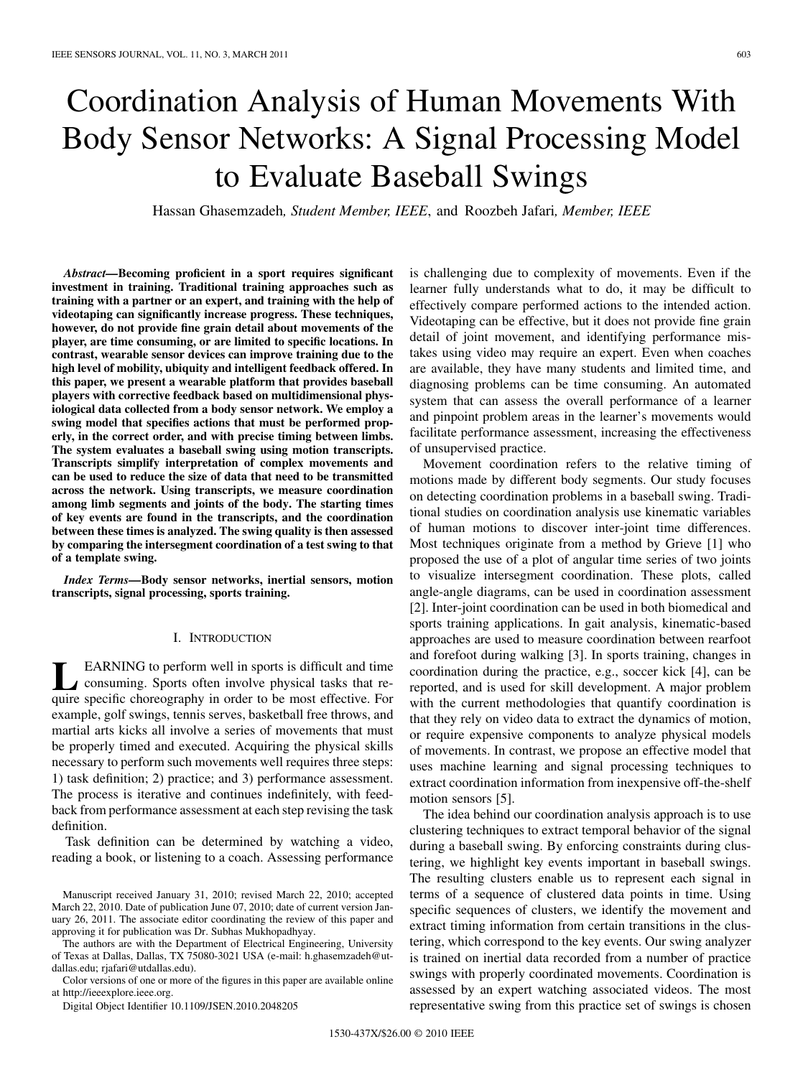# Coordination Analysis of Human Movements With Body Sensor Networks: A Signal Processing Model to Evaluate Baseball Swings

Hassan Ghasemzadeh*, Student Member, IEEE*, and Roozbeh Jafari*, Member, IEEE*

*Abstract—***Becoming proficient in a sport requires significant investment in training. Traditional training approaches such as training with a partner or an expert, and training with the help of videotaping can significantly increase progress. These techniques, however, do not provide fine grain detail about movements of the player, are time consuming, or are limited to specific locations. In contrast, wearable sensor devices can improve training due to the high level of mobility, ubiquity and intelligent feedback offered. In this paper, we present a wearable platform that provides baseball players with corrective feedback based on multidimensional physiological data collected from a body sensor network. We employ a swing model that specifies actions that must be performed properly, in the correct order, and with precise timing between limbs. The system evaluates a baseball swing using motion transcripts. Transcripts simplify interpretation of complex movements and can be used to reduce the size of data that need to be transmitted across the network. Using transcripts, we measure coordination among limb segments and joints of the body. The starting times of key events are found in the transcripts, and the coordination between these times is analyzed. The swing quality is then assessed by comparing the intersegment coordination of a test swing to that of a template swing.**

*Index Terms—***Body sensor networks, inertial sensors, motion transcripts, signal processing, sports training.**

# I. INTRODUCTION

**LEARNING** to perform well in sports is difficult and time<br>consuming. Sports often involve physical tasks that require specific choreography in order to be most effective. For example, golf swings, tennis serves, basketball free throws, and martial arts kicks all involve a series of movements that must be properly timed and executed. Acquiring the physical skills necessary to perform such movements well requires three steps: 1) task definition; 2) practice; and 3) performance assessment. The process is iterative and continues indefinitely, with feedback from performance assessment at each step revising the task definition.

Task definition can be determined by watching a video, reading a book, or listening to a coach. Assessing performance

The authors are with the Department of Electrical Engineering, University of Texas at Dallas, Dallas, TX 75080-3021 USA (e-mail: h.ghasemzadeh@utdallas.edu; rjafari@utdallas.edu).

Color versions of one or more of the figures in this paper are available online at http://ieeexplore.ieee.org.

Digital Object Identifier 10.1109/JSEN.2010.2048205

is challenging due to complexity of movements. Even if the learner fully understands what to do, it may be difficult to effectively compare performed actions to the intended action. Videotaping can be effective, but it does not provide fine grain detail of joint movement, and identifying performance mistakes using video may require an expert. Even when coaches are available, they have many students and limited time, and diagnosing problems can be time consuming. An automated system that can assess the overall performance of a learner and pinpoint problem areas in the learner's movements would facilitate performance assessment, increasing the effectiveness of unsupervised practice.

Movement coordination refers to the relative timing of motions made by different body segments. Our study focuses on detecting coordination problems in a baseball swing. Traditional studies on coordination analysis use kinematic variables of human motions to discover inter-joint time differences. Most techniques originate from a method by Grieve [1] who proposed the use of a plot of angular time series of two joints to visualize intersegment coordination. These plots, called angle-angle diagrams, can be used in coordination assessment [2]. Inter-joint coordination can be used in both biomedical and sports training applications. In gait analysis, kinematic-based approaches are used to measure coordination between rearfoot and forefoot during walking [3]. In sports training, changes in coordination during the practice, e.g., soccer kick [4], can be reported, and is used for skill development. A major problem with the current methodologies that quantify coordination is that they rely on video data to extract the dynamics of motion, or require expensive components to analyze physical models of movements. In contrast, we propose an effective model that uses machine learning and signal processing techniques to extract coordination information from inexpensive off-the-shelf motion sensors [5].

The idea behind our coordination analysis approach is to use clustering techniques to extract temporal behavior of the signal during a baseball swing. By enforcing constraints during clustering, we highlight key events important in baseball swings. The resulting clusters enable us to represent each signal in terms of a sequence of clustered data points in time. Using specific sequences of clusters, we identify the movement and extract timing information from certain transitions in the clustering, which correspond to the key events. Our swing analyzer is trained on inertial data recorded from a number of practice swings with properly coordinated movements. Coordination is assessed by an expert watching associated videos. The most representative swing from this practice set of swings is chosen

Manuscript received January 31, 2010; revised March 22, 2010; accepted March 22, 2010. Date of publication June 07, 2010; date of current version January 26, 2011. The associate editor coordinating the review of this paper and approving it for publication was Dr. Subhas Mukhopadhyay.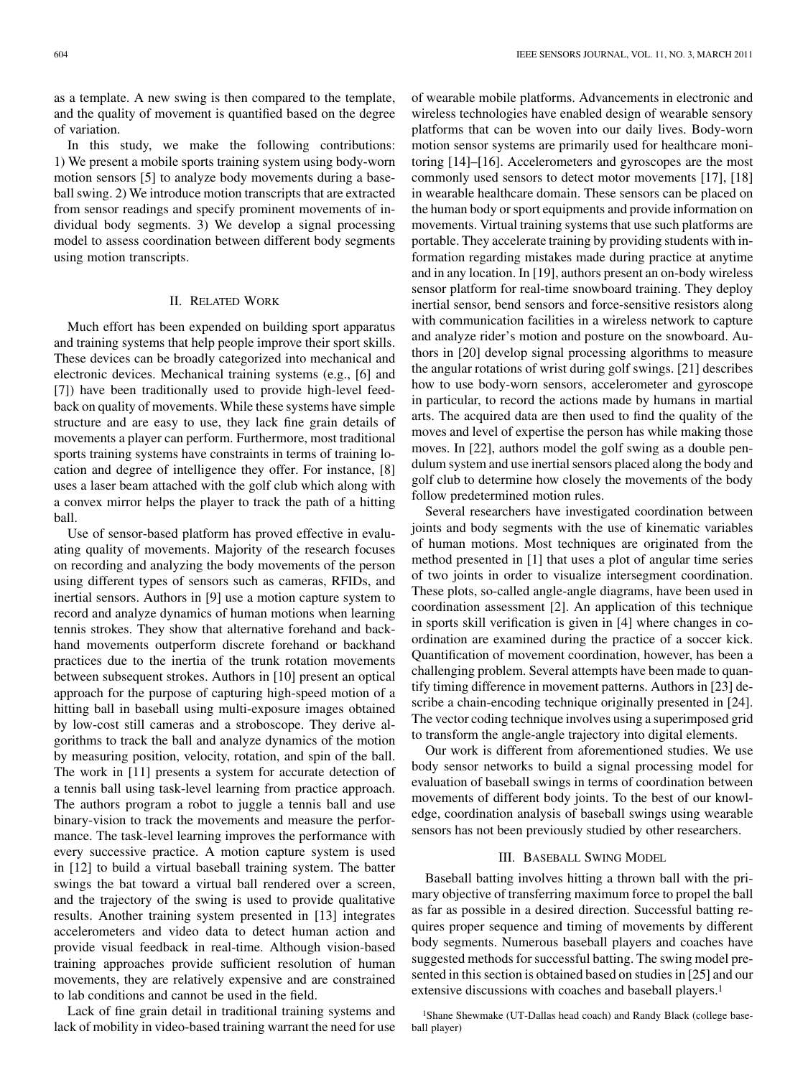In this study, we make the following contributions: 1) We present a mobile sports training system using body-worn motion sensors [5] to analyze body movements during a baseball swing. 2) We introduce motion transcripts that are extracted from sensor readings and specify prominent movements of individual body segments. 3) We develop a signal processing model to assess coordination between different body segments using motion transcripts.

## II. RELATED WORK

Much effort has been expended on building sport apparatus and training systems that help people improve their sport skills. These devices can be broadly categorized into mechanical and electronic devices. Mechanical training systems (e.g., [6] and [7]) have been traditionally used to provide high-level feedback on quality of movements. While these systems have simple structure and are easy to use, they lack fine grain details of movements a player can perform. Furthermore, most traditional sports training systems have constraints in terms of training location and degree of intelligence they offer. For instance, [8] uses a laser beam attached with the golf club which along with a convex mirror helps the player to track the path of a hitting ball.

Use of sensor-based platform has proved effective in evaluating quality of movements. Majority of the research focuses on recording and analyzing the body movements of the person using different types of sensors such as cameras, RFIDs, and inertial sensors. Authors in [9] use a motion capture system to record and analyze dynamics of human motions when learning tennis strokes. They show that alternative forehand and backhand movements outperform discrete forehand or backhand practices due to the inertia of the trunk rotation movements between subsequent strokes. Authors in [10] present an optical approach for the purpose of capturing high-speed motion of a hitting ball in baseball using multi-exposure images obtained by low-cost still cameras and a stroboscope. They derive algorithms to track the ball and analyze dynamics of the motion by measuring position, velocity, rotation, and spin of the ball. The work in [11] presents a system for accurate detection of a tennis ball using task-level learning from practice approach. The authors program a robot to juggle a tennis ball and use binary-vision to track the movements and measure the performance. The task-level learning improves the performance with every successive practice. A motion capture system is used in [12] to build a virtual baseball training system. The batter swings the bat toward a virtual ball rendered over a screen, and the trajectory of the swing is used to provide qualitative results. Another training system presented in [13] integrates accelerometers and video data to detect human action and provide visual feedback in real-time. Although vision-based training approaches provide sufficient resolution of human movements, they are relatively expensive and are constrained to lab conditions and cannot be used in the field.

Lack of fine grain detail in traditional training systems and lack of mobility in video-based training warrant the need for use of wearable mobile platforms. Advancements in electronic and wireless technologies have enabled design of wearable sensory platforms that can be woven into our daily lives. Body-worn motion sensor systems are primarily used for healthcare monitoring [14]–[16]. Accelerometers and gyroscopes are the most commonly used sensors to detect motor movements [17], [18] in wearable healthcare domain. These sensors can be placed on the human body or sport equipments and provide information on movements. Virtual training systems that use such platforms are portable. They accelerate training by providing students with information regarding mistakes made during practice at anytime and in any location. In [19], authors present an on-body wireless sensor platform for real-time snowboard training. They deploy inertial sensor, bend sensors and force-sensitive resistors along with communication facilities in a wireless network to capture and analyze rider's motion and posture on the snowboard. Authors in [20] develop signal processing algorithms to measure the angular rotations of wrist during golf swings. [21] describes how to use body-worn sensors, accelerometer and gyroscope in particular, to record the actions made by humans in martial arts. The acquired data are then used to find the quality of the moves and level of expertise the person has while making those moves. In [22], authors model the golf swing as a double pendulum system and use inertial sensors placed along the body and golf club to determine how closely the movements of the body follow predetermined motion rules.

Several researchers have investigated coordination between joints and body segments with the use of kinematic variables of human motions. Most techniques are originated from the method presented in [1] that uses a plot of angular time series of two joints in order to visualize intersegment coordination. These plots, so-called angle-angle diagrams, have been used in coordination assessment [2]. An application of this technique in sports skill verification is given in [4] where changes in coordination are examined during the practice of a soccer kick. Quantification of movement coordination, however, has been a challenging problem. Several attempts have been made to quantify timing difference in movement patterns. Authors in [23] describe a chain-encoding technique originally presented in [24]. The vector coding technique involves using a superimposed grid to transform the angle-angle trajectory into digital elements.

Our work is different from aforementioned studies. We use body sensor networks to build a signal processing model for evaluation of baseball swings in terms of coordination between movements of different body joints. To the best of our knowledge, coordination analysis of baseball swings using wearable sensors has not been previously studied by other researchers.

### III. BASEBALL SWING MODEL

Baseball batting involves hitting a thrown ball with the primary objective of transferring maximum force to propel the ball as far as possible in a desired direction. Successful batting requires proper sequence and timing of movements by different body segments. Numerous baseball players and coaches have suggested methods for successful batting. The swing model presented in this section is obtained based on studies in [25] and our extensive discussions with coaches and baseball players.<sup>1</sup>

1Shane Shewmake (UT-Dallas head coach) and Randy Black (college baseball player)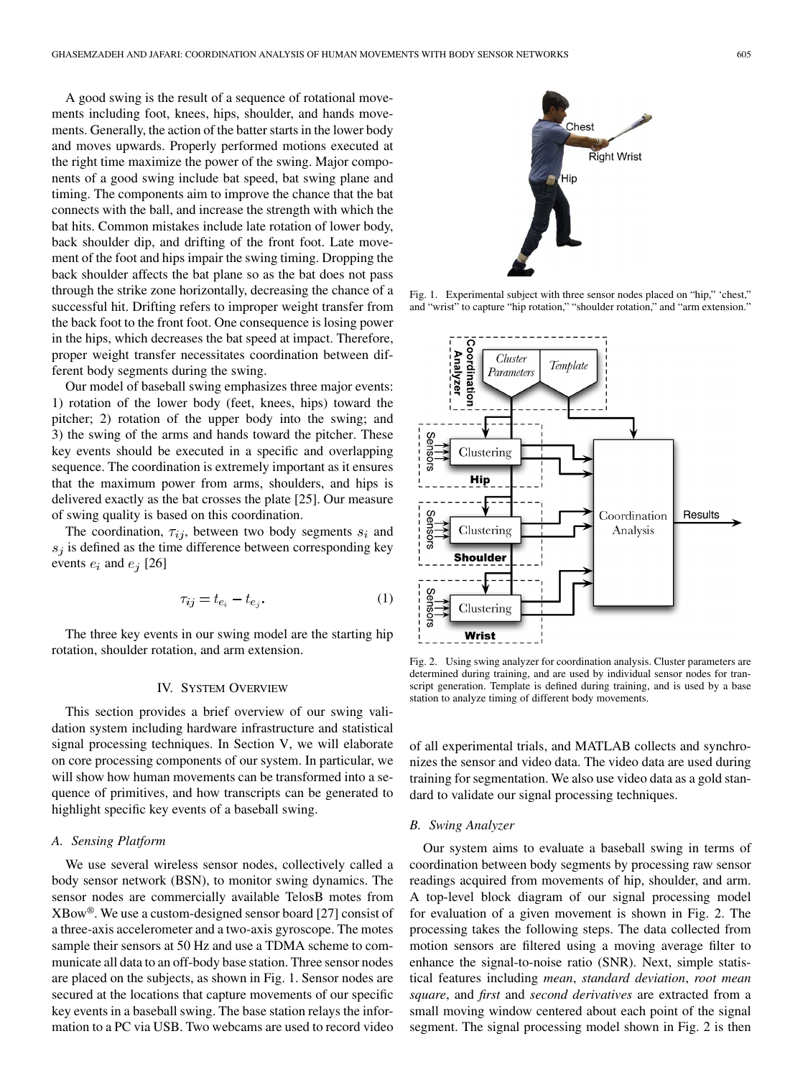A good swing is the result of a sequence of rotational movements including foot, knees, hips, shoulder, and hands movements. Generally, the action of the batter starts in the lower body and moves upwards. Properly performed motions executed at the right time maximize the power of the swing. Major components of a good swing include bat speed, bat swing plane and timing. The components aim to improve the chance that the bat connects with the ball, and increase the strength with which the bat hits. Common mistakes include late rotation of lower body, back shoulder dip, and drifting of the front foot. Late movement of the foot and hips impair the swing timing. Dropping the back shoulder affects the bat plane so as the bat does not pass through the strike zone horizontally, decreasing the chance of a successful hit. Drifting refers to improper weight transfer from the back foot to the front foot. One consequence is losing power in the hips, which decreases the bat speed at impact. Therefore, proper weight transfer necessitates coordination between different body segments during the swing.

Our model of baseball swing emphasizes three major events: 1) rotation of the lower body (feet, knees, hips) toward the pitcher; 2) rotation of the upper body into the swing; and 3) the swing of the arms and hands toward the pitcher. These key events should be executed in a specific and overlapping sequence. The coordination is extremely important as it ensures that the maximum power from arms, shoulders, and hips is delivered exactly as the bat crosses the plate [25]. Our measure of swing quality is based on this coordination.

The coordination,  $\tau_{ij}$ , between two body segments  $s_i$  and  $s_i$  is defined as the time difference between corresponding key events  $e_i$  and  $e_j$  [26]

$$
\tau_{ij} = t_{e_i} - t_{e_j}.\tag{1}
$$

The three key events in our swing model are the starting hip rotation, shoulder rotation, and arm extension.

#### IV. SYSTEM OVERVIEW

This section provides a brief overview of our swing validation system including hardware infrastructure and statistical signal processing techniques. In Section V, we will elaborate on core processing components of our system. In particular, we will show how human movements can be transformed into a sequence of primitives, and how transcripts can be generated to highlight specific key events of a baseball swing.

# *A. Sensing Platform*

We use several wireless sensor nodes, collectively called a body sensor network (BSN), to monitor swing dynamics. The sensor nodes are commercially available TelosB motes from XBow®. We use a custom-designed sensor board [27] consist of a three-axis accelerometer and a two-axis gyroscope. The motes sample their sensors at 50 Hz and use a TDMA scheme to communicate all data to an off-body base station. Three sensor nodes are placed on the subjects, as shown in Fig. 1. Sensor nodes are secured at the locations that capture movements of our specific key events in a baseball swing. The base station relays the information to a PC via USB. Two webcams are used to record video



Fig. 1. Experimental subject with three sensor nodes placed on "hip," 'chest," and "wrist" to capture "hip rotation," "shoulder rotation," and "arm extension."



Fig. 2. Using swing analyzer for coordination analysis. Cluster parameters are determined during training, and are used by individual sensor nodes for transcript generation. Template is defined during training, and is used by a base station to analyze timing of different body movements.

of all experimental trials, and MATLAB collects and synchronizes the sensor and video data. The video data are used during training for segmentation. We also use video data as a gold standard to validate our signal processing techniques.

#### *B. Swing Analyzer*

Our system aims to evaluate a baseball swing in terms of coordination between body segments by processing raw sensor readings acquired from movements of hip, shoulder, and arm. A top-level block diagram of our signal processing model for evaluation of a given movement is shown in Fig. 2. The processing takes the following steps. The data collected from motion sensors are filtered using a moving average filter to enhance the signal-to-noise ratio (SNR). Next, simple statistical features including *mean*, *standard deviation*, *root mean square*, and *first* and *second derivatives* are extracted from a small moving window centered about each point of the signal segment. The signal processing model shown in Fig. 2 is then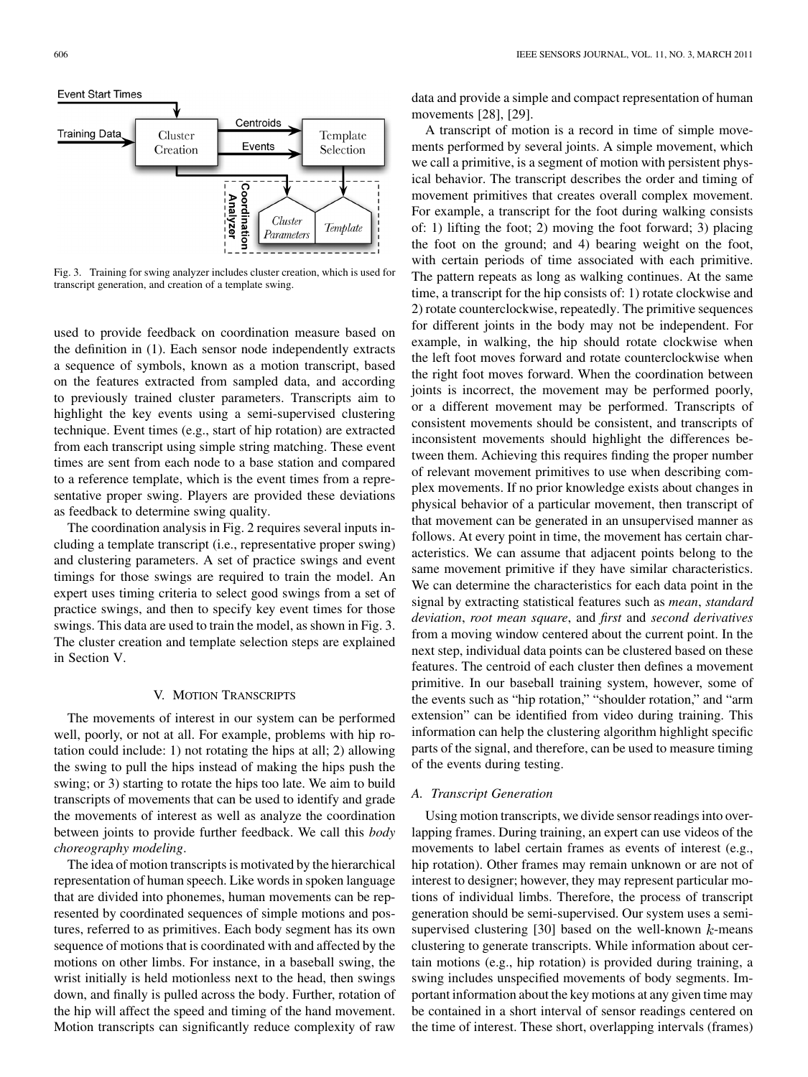

Fig. 3. Training for swing analyzer includes cluster creation, which is used for transcript generation, and creation of a template swing.

used to provide feedback on coordination measure based on the definition in (1). Each sensor node independently extracts a sequence of symbols, known as a motion transcript, based on the features extracted from sampled data, and according to previously trained cluster parameters. Transcripts aim to highlight the key events using a semi-supervised clustering technique. Event times (e.g., start of hip rotation) are extracted from each transcript using simple string matching. These event times are sent from each node to a base station and compared to a reference template, which is the event times from a representative proper swing. Players are provided these deviations as feedback to determine swing quality.

The coordination analysis in Fig. 2 requires several inputs including a template transcript (i.e., representative proper swing) and clustering parameters. A set of practice swings and event timings for those swings are required to train the model. An expert uses timing criteria to select good swings from a set of practice swings, and then to specify key event times for those swings. This data are used to train the model, as shown in Fig. 3. The cluster creation and template selection steps are explained in Section V.

#### V. MOTION TRANSCRIPTS

The movements of interest in our system can be performed well, poorly, or not at all. For example, problems with hip rotation could include: 1) not rotating the hips at all; 2) allowing the swing to pull the hips instead of making the hips push the swing; or 3) starting to rotate the hips too late. We aim to build transcripts of movements that can be used to identify and grade the movements of interest as well as analyze the coordination between joints to provide further feedback. We call this *body choreography modeling*.

The idea of motion transcripts is motivated by the hierarchical representation of human speech. Like words in spoken language that are divided into phonemes, human movements can be represented by coordinated sequences of simple motions and postures, referred to as primitives. Each body segment has its own sequence of motions that is coordinated with and affected by the motions on other limbs. For instance, in a baseball swing, the wrist initially is held motionless next to the head, then swings down, and finally is pulled across the body. Further, rotation of the hip will affect the speed and timing of the hand movement. Motion transcripts can significantly reduce complexity of raw data and provide a simple and compact representation of human movements [28], [29].

A transcript of motion is a record in time of simple movements performed by several joints. A simple movement, which we call a primitive, is a segment of motion with persistent physical behavior. The transcript describes the order and timing of movement primitives that creates overall complex movement. For example, a transcript for the foot during walking consists of: 1) lifting the foot; 2) moving the foot forward; 3) placing the foot on the ground; and 4) bearing weight on the foot, with certain periods of time associated with each primitive. The pattern repeats as long as walking continues. At the same time, a transcript for the hip consists of: 1) rotate clockwise and 2) rotate counterclockwise, repeatedly. The primitive sequences for different joints in the body may not be independent. For example, in walking, the hip should rotate clockwise when the left foot moves forward and rotate counterclockwise when the right foot moves forward. When the coordination between joints is incorrect, the movement may be performed poorly, or a different movement may be performed. Transcripts of consistent movements should be consistent, and transcripts of inconsistent movements should highlight the differences between them. Achieving this requires finding the proper number of relevant movement primitives to use when describing complex movements. If no prior knowledge exists about changes in physical behavior of a particular movement, then transcript of that movement can be generated in an unsupervised manner as follows. At every point in time, the movement has certain characteristics. We can assume that adjacent points belong to the same movement primitive if they have similar characteristics. We can determine the characteristics for each data point in the signal by extracting statistical features such as *mean*, *standard deviation*, *root mean square*, and *first* and *second derivatives* from a moving window centered about the current point. In the next step, individual data points can be clustered based on these features. The centroid of each cluster then defines a movement primitive. In our baseball training system, however, some of the events such as "hip rotation," "shoulder rotation," and "arm extension" can be identified from video during training. This information can help the clustering algorithm highlight specific parts of the signal, and therefore, can be used to measure timing of the events during testing.

## *A. Transcript Generation*

Using motion transcripts, we divide sensor readings into overlapping frames. During training, an expert can use videos of the movements to label certain frames as events of interest (e.g., hip rotation). Other frames may remain unknown or are not of interest to designer; however, they may represent particular motions of individual limbs. Therefore, the process of transcript generation should be semi-supervised. Our system uses a semisupervised clustering  $[30]$  based on the well-known  $k$ -means clustering to generate transcripts. While information about certain motions (e.g., hip rotation) is provided during training, a swing includes unspecified movements of body segments. Important information about the key motions at any given time may be contained in a short interval of sensor readings centered on the time of interest. These short, overlapping intervals (frames)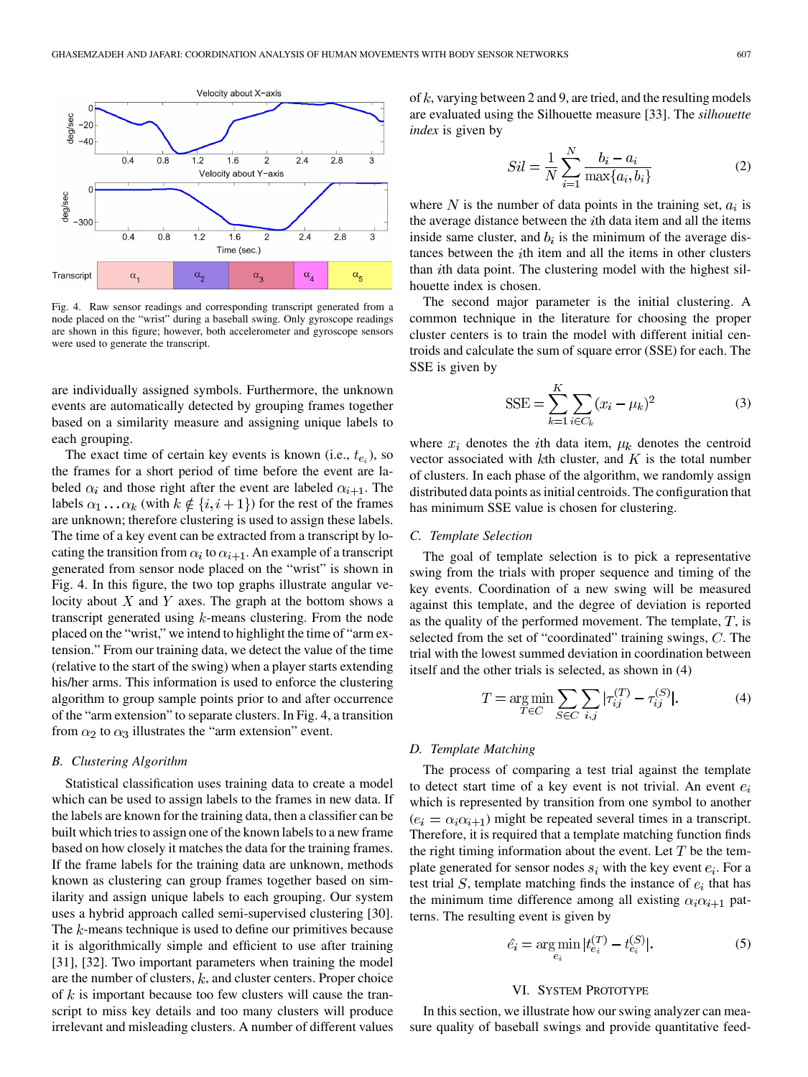

Fig. 4. Raw sensor readings and corresponding transcript generated from a node placed on the "wrist" during a baseball swing. Only gyroscope readings are shown in this figure; however, both accelerometer and gyroscope sensors were used to generate the transcript.

are individually assigned symbols. Furthermore, the unknown events are automatically detected by grouping frames together based on a similarity measure and assigning unique labels to each grouping.

The exact time of certain key events is known (i.e.,  $t_{e_i}$ ), so the frames for a short period of time before the event are labeled  $\alpha_i$  and those right after the event are labeled  $\alpha_{i+1}$ . The labels  $\alpha_1 \dots \alpha_k$  (with  $k \notin \{i, i+1\}$ ) for the rest of the frames are unknown; therefore clustering is used to assign these labels. The time of a key event can be extracted from a transcript by locating the transition from  $\alpha_i$  to  $\alpha_{i+1}$ . An example of a transcript generated from sensor node placed on the "wrist" is shown in Fig. 4. In this figure, the two top graphs illustrate angular velocity about  $X$  and  $Y$  axes. The graph at the bottom shows a transcript generated using  $k$ -means clustering. From the node placed on the "wrist," we intend to highlight the time of "arm extension." From our training data, we detect the value of the time (relative to the start of the swing) when a player starts extending his/her arms. This information is used to enforce the clustering algorithm to group sample points prior to and after occurrence of the "arm extension" to separate clusters. In Fig. 4, a transition from  $\alpha_2$  to  $\alpha_3$  illustrates the "arm extension" event.

## *B. Clustering Algorithm*

Statistical classification uses training data to create a model which can be used to assign labels to the frames in new data. If the labels are known for the training data, then a classifier can be built which tries to assign one of the known labels to a new frame based on how closely it matches the data for the training frames. If the frame labels for the training data are unknown, methods known as clustering can group frames together based on similarity and assign unique labels to each grouping. Our system uses a hybrid approach called semi-supervised clustering [30]. The  $k$ -means technique is used to define our primitives because it is algorithmically simple and efficient to use after training [31], [32]. Two important parameters when training the model are the number of clusters,  $k$ , and cluster centers. Proper choice of  $k$  is important because too few clusters will cause the transcript to miss key details and too many clusters will produce irrelevant and misleading clusters. A number of different values

of  $k$ , varying between 2 and 9, are tried, and the resulting models are evaluated using the Silhouette measure [33]. The *silhouette index* is given by

$$
Sil = \frac{1}{N} \sum_{i=1}^{N} \frac{b_i - a_i}{\max\{a_i, b_i\}}
$$
 (2)

where N is the number of data points in the training set,  $a_i$  is the average distance between the  $i$ th data item and all the items inside same cluster, and  $b_i$  is the minimum of the average distances between the  $i$ th item and all the items in other clusters than  $i$ th data point. The clustering model with the highest silhouette index is chosen.

The second major parameter is the initial clustering. A common technique in the literature for choosing the proper cluster centers is to train the model with different initial centroids and calculate the sum of square error (SSE) for each. The SSE is given by

$$
SSE = \sum_{k=1}^{K} \sum_{i \in C_k} (x_i - \mu_k)^2
$$
 (3)

where  $x_i$  denotes the *i*th data item,  $\mu_k$  denotes the centroid vector associated with  $k$ th cluster, and  $K$  is the total number of clusters. In each phase of the algorithm, we randomly assign distributed data points as initial centroids. The configuration that has minimum SSE value is chosen for clustering.

## *C. Template Selection*

The goal of template selection is to pick a representative swing from the trials with proper sequence and timing of the key events. Coordination of a new swing will be measured against this template, and the degree of deviation is reported as the quality of the performed movement. The template,  $T$ , is selected from the set of "coordinated" training swings,  $C$ . The trial with the lowest summed deviation in coordination between itself and the other trials is selected, as shown in (4)

$$
T = \underset{T \in C}{\text{arg min}} \sum_{S \in C} \sum_{i,j} |\tau_{ij}^{(T)} - \tau_{ij}^{(S)}|.
$$
 (4)

#### *D. Template Matching*

The process of comparing a test trial against the template to detect start time of a key event is not trivial. An event  $e_i$ which is represented by transition from one symbol to another  $(e_i = \alpha_i \alpha_{i+1})$  might be repeated several times in a transcript. Therefore, it is required that a template matching function finds the right timing information about the event. Let  $T$  be the template generated for sensor nodes  $s_i$  with the key event  $e_i$ . For a test trial  $S$ , template matching finds the instance of  $e_i$  that has the minimum time difference among all existing  $\alpha_i \alpha_{i+1}$  patterns. The resulting event is given by

$$
\hat{e}_i = \underset{e_i}{\text{arg min}} |t_{e_i}^{(T)} - t_{e_i}^{(S)}|.
$$
 (5)

#### VI. SYSTEM PROTOTYPE

In this section, we illustrate how our swing analyzer can measure quality of baseball swings and provide quantitative feed-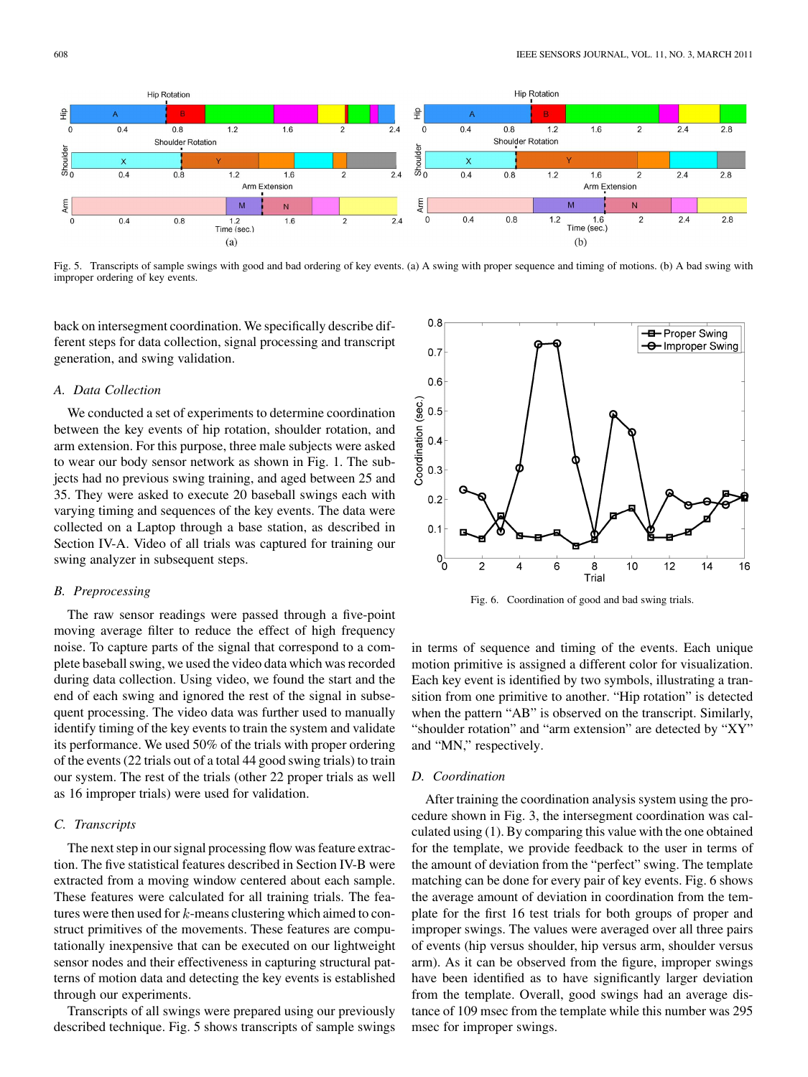

Fig. 5. Transcripts of sample swings with good and bad ordering of key events. (a) A swing with proper sequence and timing of motions. (b) A bad swing with improper ordering of key events.

back on intersegment coordination. We specifically describe different steps for data collection, signal processing and transcript generation, and swing validation.

## *A. Data Collection*

We conducted a set of experiments to determine coordination between the key events of hip rotation, shoulder rotation, and arm extension. For this purpose, three male subjects were asked to wear our body sensor network as shown in Fig. 1. The subjects had no previous swing training, and aged between 25 and 35. They were asked to execute 20 baseball swings each with varying timing and sequences of the key events. The data were collected on a Laptop through a base station, as described in Section IV-A. Video of all trials was captured for training our swing analyzer in subsequent steps.

## *B. Preprocessing*

The raw sensor readings were passed through a five-point moving average filter to reduce the effect of high frequency noise. To capture parts of the signal that correspond to a complete baseball swing, we used the video data which was recorded during data collection. Using video, we found the start and the end of each swing and ignored the rest of the signal in subsequent processing. The video data was further used to manually identify timing of the key events to train the system and validate its performance. We used 50% of the trials with proper ordering of the events (22 trials out of a total 44 good swing trials) to train our system. The rest of the trials (other 22 proper trials as well as 16 improper trials) were used for validation.

#### *C. Transcripts*

The next step in our signal processing flow was feature extraction. The five statistical features described in Section IV-B were extracted from a moving window centered about each sample. These features were calculated for all training trials. The features were then used for  $k$ -means clustering which aimed to construct primitives of the movements. These features are computationally inexpensive that can be executed on our lightweight sensor nodes and their effectiveness in capturing structural patterns of motion data and detecting the key events is established through our experiments.

Transcripts of all swings were prepared using our previously described technique. Fig. 5 shows transcripts of sample swings



Fig. 6. Coordination of good and bad swing trials.

in terms of sequence and timing of the events. Each unique motion primitive is assigned a different color for visualization. Each key event is identified by two symbols, illustrating a transition from one primitive to another. "Hip rotation" is detected when the pattern "AB" is observed on the transcript. Similarly, "shoulder rotation" and "arm extension" are detected by "XY" and "MN," respectively.

#### *D. Coordination*

After training the coordination analysis system using the procedure shown in Fig. 3, the intersegment coordination was calculated using (1). By comparing this value with the one obtained for the template, we provide feedback to the user in terms of the amount of deviation from the "perfect" swing. The template matching can be done for every pair of key events. Fig. 6 shows the average amount of deviation in coordination from the template for the first 16 test trials for both groups of proper and improper swings. The values were averaged over all three pairs of events (hip versus shoulder, hip versus arm, shoulder versus arm). As it can be observed from the figure, improper swings have been identified as to have significantly larger deviation from the template. Overall, good swings had an average distance of 109 msec from the template while this number was 295 msec for improper swings.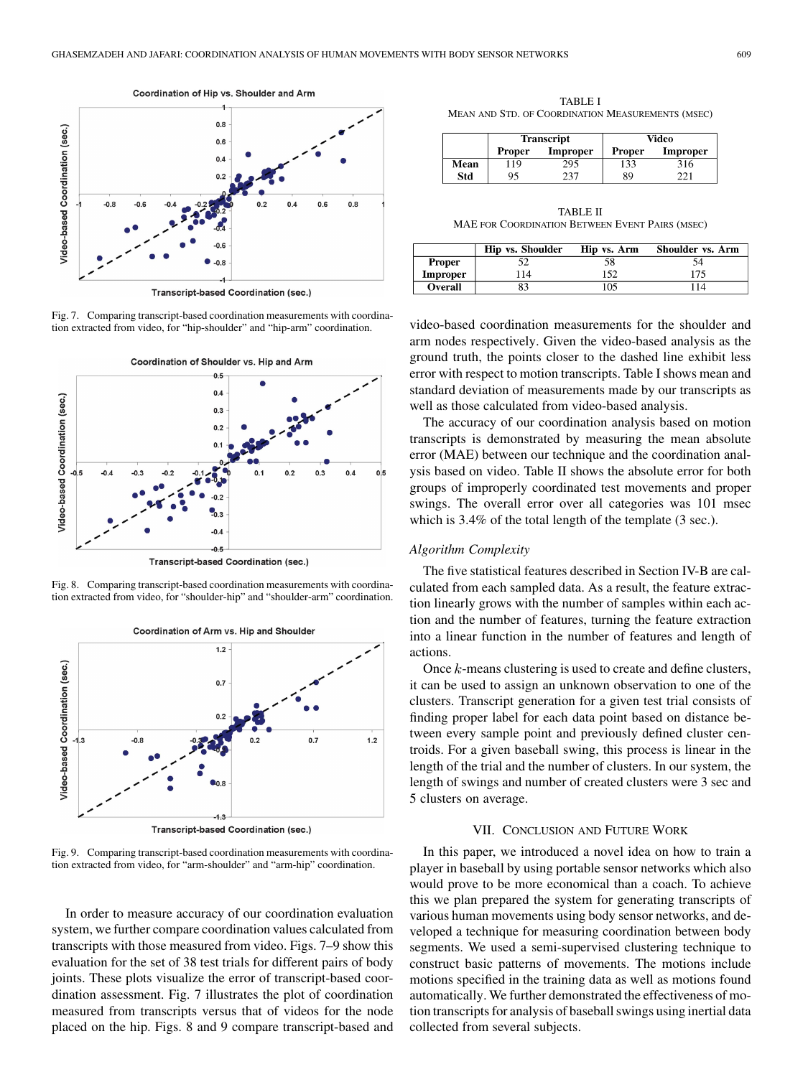

Fig. 7. Comparing transcript-based coordination measurements with coordination extracted from video, for "hip-shoulder" and "hip-arm" coordination.



Transcript-based Coordination (sec.)

Fig. 8. Comparing transcript-based coordination measurements with coordination extracted from video, for "shoulder-hip" and "shoulder-arm" coordination.



Fig. 9. Comparing transcript-based coordination measurements with coordination extracted from video, for "arm-shoulder" and "arm-hip" coordination.

In order to measure accuracy of our coordination evaluation system, we further compare coordination values calculated from transcripts with those measured from video. Figs. 7–9 show this evaluation for the set of 38 test trials for different pairs of body joints. These plots visualize the error of transcript-based coordination assessment. Fig. 7 illustrates the plot of coordination measured from transcripts versus that of videos for the node placed on the hip. Figs. 8 and 9 compare transcript-based and

TABLE I MEAN AND STD. OF COORDINATION MEASUREMENTS (MSEC)

|      | <b>Transcript</b> |          | Video         |          |
|------|-------------------|----------|---------------|----------|
|      | Proper            | Improper | <b>Proper</b> | Improper |
| Mean | . 19              | 295      | 133           | 316      |
| Std  | 95                | 237      | 89            | າາ1      |

TABLE II MAE FOR COORDINATION BETWEEN EVENT PAIRS (MSEC)

|          | <b>Hip vs. Shoulder</b> | Hip vs. Arm | Shoulder vs. Arm |
|----------|-------------------------|-------------|------------------|
| Proper   |                         |             |                  |
| Improper | 114                     | 152         | 175              |
| Overall  |                         | 05          |                  |

video-based coordination measurements for the shoulder and arm nodes respectively. Given the video-based analysis as the ground truth, the points closer to the dashed line exhibit less error with respect to motion transcripts. Table I shows mean and standard deviation of measurements made by our transcripts as well as those calculated from video-based analysis.

The accuracy of our coordination analysis based on motion transcripts is demonstrated by measuring the mean absolute error (MAE) between our technique and the coordination analysis based on video. Table II shows the absolute error for both groups of improperly coordinated test movements and proper swings. The overall error over all categories was 101 msec which is 3.4% of the total length of the template (3 sec.).

## *Algorithm Complexity*

The five statistical features described in Section IV-B are calculated from each sampled data. As a result, the feature extraction linearly grows with the number of samples within each action and the number of features, turning the feature extraction into a linear function in the number of features and length of actions.

Once  $k$ -means clustering is used to create and define clusters, it can be used to assign an unknown observation to one of the clusters. Transcript generation for a given test trial consists of finding proper label for each data point based on distance between every sample point and previously defined cluster centroids. For a given baseball swing, this process is linear in the length of the trial and the number of clusters. In our system, the length of swings and number of created clusters were 3 sec and 5 clusters on average.

## VII. CONCLUSION AND FUTURE WORK

In this paper, we introduced a novel idea on how to train a player in baseball by using portable sensor networks which also would prove to be more economical than a coach. To achieve this we plan prepared the system for generating transcripts of various human movements using body sensor networks, and developed a technique for measuring coordination between body segments. We used a semi-supervised clustering technique to construct basic patterns of movements. The motions include motions specified in the training data as well as motions found automatically. We further demonstrated the effectiveness of motion transcripts for analysis of baseball swings using inertial data collected from several subjects.